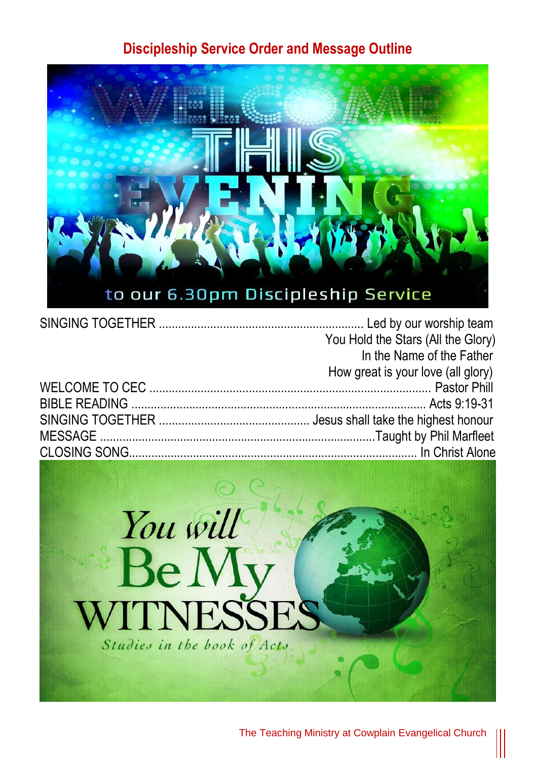## **Discipleship Service Order and Message Outline**



| You Hold the Stars (All the Glory) |  |
|------------------------------------|--|
| In the Name of the Father          |  |
| How great is your love (all glory) |  |
|                                    |  |
|                                    |  |
|                                    |  |
|                                    |  |
|                                    |  |

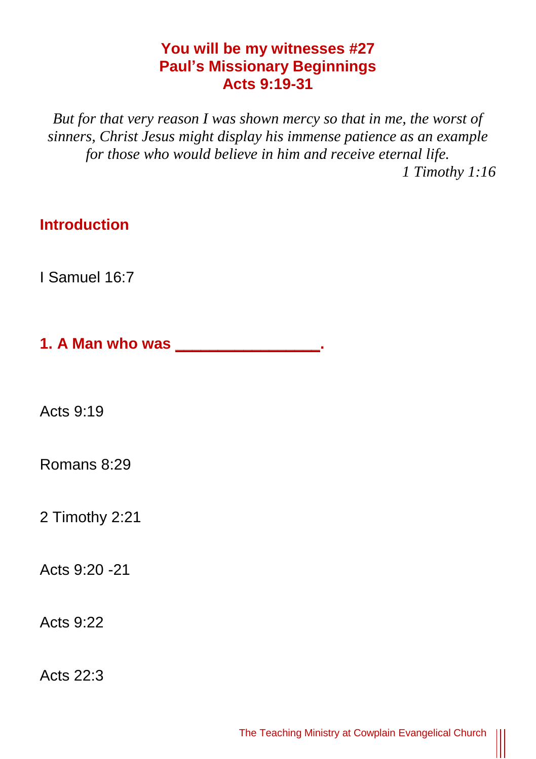## **You will be my witnesses #27 Paul's Missionary Beginnings Acts 9:19-31**

*But for that very reason I was shown mercy so that in me, the worst of sinners, Christ Jesus might display his immense patience as an example for those who would believe in him and receive eternal life. 1 Timothy 1:16*

**Introduction**

I Samuel 16:7

**1. A Man who was \_\_\_\_\_\_\_\_\_\_\_\_\_\_\_\_\_.**

Acts 9:19

Romans 8:29

2 Timothy 2:21

Acts 9:20 -21

Acts 9:22

Acts 22:3

║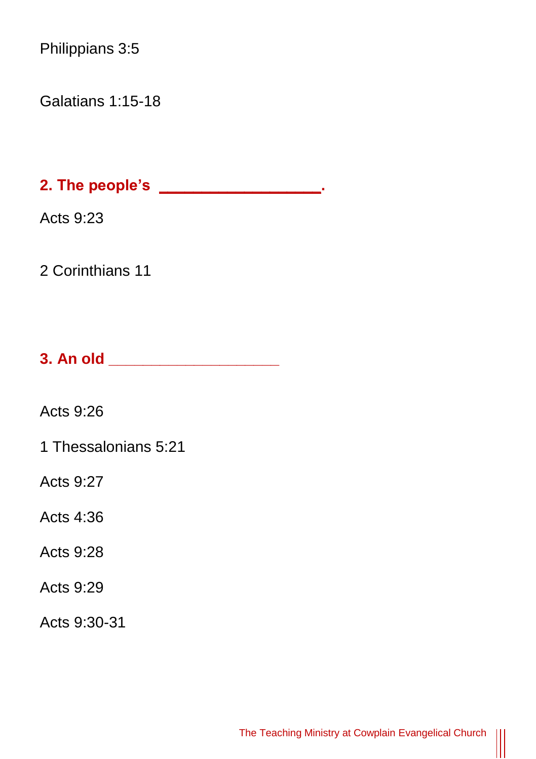Philippians 3:5

Galatians 1:15-18

**2. The people's \_\_\_\_\_\_\_\_\_\_\_\_\_\_\_\_\_\_\_.** 

Acts 9:23

2 Corinthians 11

**3. An old \_\_\_\_\_\_\_\_\_\_\_\_\_\_\_\_\_\_\_\_** 

Acts 9:26

1 Thessalonians 5:21

Acts 9:27

Acts 4:36

Acts 9:28

Acts 9:29

Acts 9:30-31

 $\parallel$